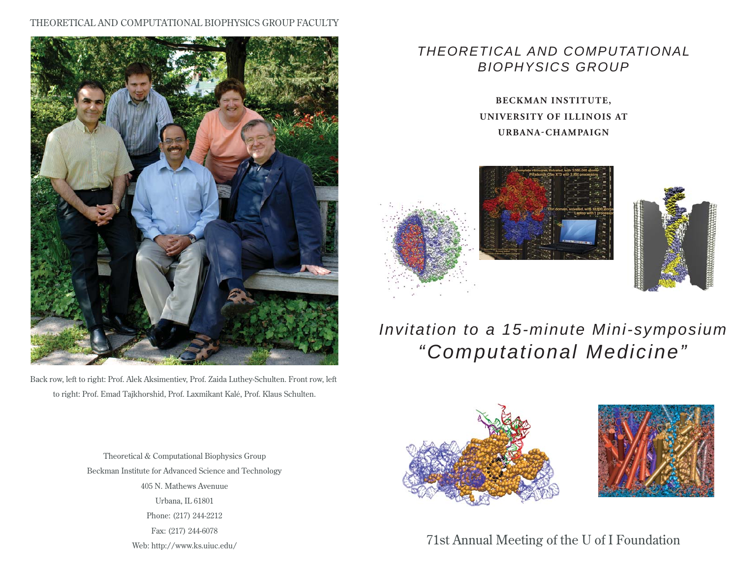## THEORETICAL AND COMPUTATIONAL BIOPHYSICS GROUP FACULTY



Back row, left to right: Prof. Alek Aksimentiev, Prof. Zaida Luthey-Schulten. Front row, left to right: Prof. Emad Tajkhorshid, Prof. Laxmikant Kalé, Prof. Klaus Schulten.

Theoretical & Computational Biophysics Group Beckman Institute for Advanced Science and Technology 405 N. Mathews Avenuue Urbana, IL 61801 Phone: (217) 244-2212 Fax: (217) 244-6078 Web: http://www.ks.uiuc.edu/

## *THEORETICAL AND COMPUTATIONAL BIOPHYSICS GROUP*

## **BECKMAN INSTITUTE, UNIVERSITY OF ILLINOIS AT URBANA CHAMPAIGN**



## *Invitation to a 15-minute Mini-symposium "Computational Medicine"*





71st Annual Meeting of the U of I Foundation